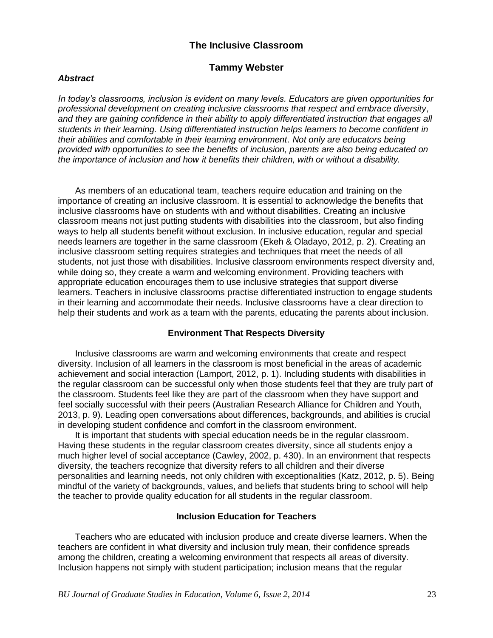# **The Inclusive Classroom**

## **Tammy Webster**

#### *Abstract*

*In today's classrooms, inclusion is evident on many levels. Educators are given opportunities for professional development on creating inclusive classrooms that respect and embrace diversity, and they are gaining confidence in their ability to apply differentiated instruction that engages all students in their learning. Using differentiated instruction helps learners to become confident in their abilities and comfortable in their learning environment. Not only are educators being provided with opportunities to see the benefits of inclusion, parents are also being educated on the importance of inclusion and how it benefits their children, with or without a disability.* 

As members of an educational team, teachers require education and training on the importance of creating an inclusive classroom. It is essential to acknowledge the benefits that inclusive classrooms have on students with and without disabilities. Creating an inclusive classroom means not just putting students with disabilities into the classroom, but also finding ways to help all students benefit without exclusion. In inclusive education, regular and special needs learners are together in the same classroom (Ekeh & Oladayo, 2012, p. 2). Creating an inclusive classroom setting requires strategies and techniques that meet the needs of all students, not just those with disabilities. Inclusive classroom environments respect diversity and, while doing so, they create a warm and welcoming environment. Providing teachers with appropriate education encourages them to use inclusive strategies that support diverse learners. Teachers in inclusive classrooms practise differentiated instruction to engage students in their learning and accommodate their needs. Inclusive classrooms have a clear direction to help their students and work as a team with the parents, educating the parents about inclusion.

### **Environment That Respects Diversity**

Inclusive classrooms are warm and welcoming environments that create and respect diversity. Inclusion of all learners in the classroom is most beneficial in the areas of academic achievement and social interaction (Lamport, 2012, p. 1). Including students with disabilities in the regular classroom can be successful only when those students feel that they are truly part of the classroom. Students feel like they are part of the classroom when they have support and feel socially successful with their peers (Australian Research Alliance for Children and Youth, 2013, p. 9). Leading open conversations about differences, backgrounds, and abilities is crucial in developing student confidence and comfort in the classroom environment.

It is important that students with special education needs be in the regular classroom. Having these students in the regular classroom creates diversity, since all students enjoy a much higher level of social acceptance (Cawley, 2002, p. 430). In an environment that respects diversity, the teachers recognize that diversity refers to all children and their diverse personalities and learning needs, not only children with exceptionalities (Katz, 2012, p. 5). Being mindful of the variety of backgrounds, values, and beliefs that students bring to school will help the teacher to provide quality education for all students in the regular classroom.

#### **Inclusion Education for Teachers**

Teachers who are educated with inclusion produce and create diverse learners. When the teachers are confident in what diversity and inclusion truly mean, their confidence spreads among the children, creating a welcoming environment that respects all areas of diversity. Inclusion happens not simply with student participation; inclusion means that the regular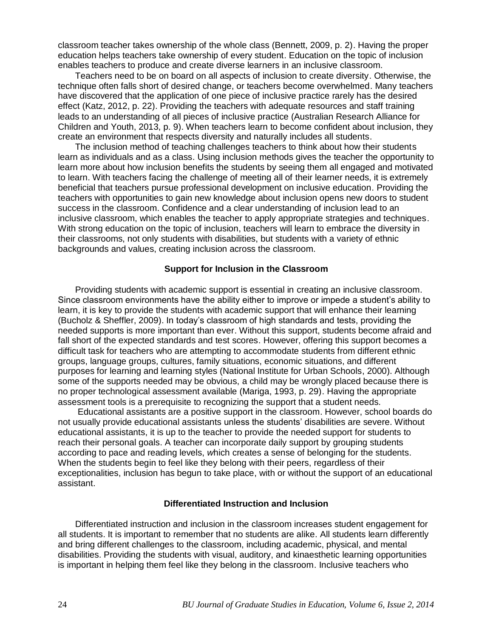classroom teacher takes ownership of the whole class (Bennett, 2009, p. 2). Having the proper education helps teachers take ownership of every student. Education on the topic of inclusion enables teachers to produce and create diverse learners in an inclusive classroom.

Teachers need to be on board on all aspects of inclusion to create diversity. Otherwise, the technique often falls short of desired change, or teachers become overwhelmed. Many teachers have discovered that the application of one piece of inclusive practice rarely has the desired effect (Katz, 2012, p. 22). Providing the teachers with adequate resources and staff training leads to an understanding of all pieces of inclusive practice (Australian Research Alliance for Children and Youth, 2013, p. 9). When teachers learn to become confident about inclusion, they create an environment that respects diversity and naturally includes all students.

The inclusion method of teaching challenges teachers to think about how their students learn as individuals and as a class. Using inclusion methods gives the teacher the opportunity to learn more about how inclusion benefits the students by seeing them all engaged and motivated to learn. With teachers facing the challenge of meeting all of their learner needs, it is extremely beneficial that teachers pursue professional development on inclusive education. Providing the teachers with opportunities to gain new knowledge about inclusion opens new doors to student success in the classroom. Confidence and a clear understanding of inclusion lead to an inclusive classroom, which enables the teacher to apply appropriate strategies and techniques. With strong education on the topic of inclusion, teachers will learn to embrace the diversity in their classrooms, not only students with disabilities, but students with a variety of ethnic backgrounds and values, creating inclusion across the classroom.

### **Support for Inclusion in the Classroom**

Providing students with academic support is essential in creating an inclusive classroom. Since classroom environments have the ability either to improve or impede a student's ability to learn, it is key to provide the students with academic support that will enhance their learning (Bucholz & Sheffler, 2009). In today's classroom of high standards and tests, providing the needed supports is more important than ever. Without this support, students become afraid and fall short of the expected standards and test scores. However, offering this support becomes a difficult task for teachers who are attempting to accommodate students from different ethnic groups, language groups, cultures, family situations, economic situations, and different purposes for learning and learning styles (National Institute for Urban Schools, 2000). Although some of the supports needed may be obvious, a child may be wrongly placed because there is no proper technological assessment available (Mariga, 1993, p. 29). Having the appropriate assessment tools is a prerequisite to recognizing the support that a student needs.

Educational assistants are a positive support in the classroom. However, school boards do not usually provide educational assistants unless the students' disabilities are severe. Without educational assistants, it is up to the teacher to provide the needed support for students to reach their personal goals. A teacher can incorporate daily support by grouping students according to pace and reading levels, *w*hich creates a sense of belonging for the students. When the students begin to feel like they belong with their peers, regardless of their exceptionalities, inclusion has begun to take place, with or without the support of an educational assistant.

#### **Differentiated Instruction and Inclusion**

Differentiated instruction and inclusion in the classroom increases student engagement for all students. It is important to remember that no students are alike. All students learn differently and bring different challenges to the classroom, including academic, physical, and mental disabilities. Providing the students with visual, auditory, and kinaesthetic learning opportunities is important in helping them feel like they belong in the classroom. Inclusive teachers who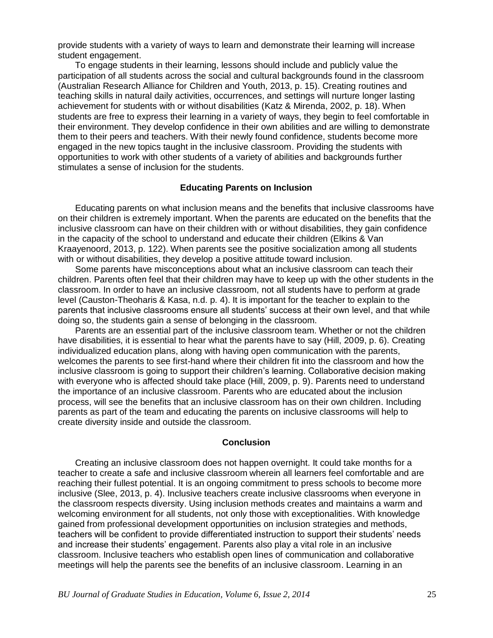provide students with a variety of ways to learn and demonstrate their learning will increase student engagement.

To engage students in their learning, lessons should include and publicly value the participation of all students across the social and cultural backgrounds found in the classroom (Australian Research Alliance for Children and Youth, 2013, p. 15). Creating routines and teaching skills in natural daily activities, occurrences, and settings will nurture longer lasting achievement for students with or without disabilities (Katz & Mirenda, 2002, p. 18). When students are free to express their learning in a variety of ways, they begin to feel comfortable in their environment. They develop confidence in their own abilities and are willing to demonstrate them to their peers and teachers. With their newly found confidence, students become more engaged in the new topics taught in the inclusive classroom. Providing the students with opportunities to work with other students of a variety of abilities and backgrounds further stimulates a sense of inclusion for the students.

### **Educating Parents on Inclusion**

Educating parents on what inclusion means and the benefits that inclusive classrooms have on their children is extremely important. When the parents are educated on the benefits that the inclusive classroom can have on their children with or without disabilities, they gain confidence in the capacity of the school to understand and educate their children (Elkins & Van Kraayenoord, 2013, p. 122). When parents see the positive socialization among all students with or without disabilities, they develop a positive attitude toward inclusion.

Some parents have misconceptions about what an inclusive classroom can teach their children. Parents often feel that their children may have to keep up with the other students in the classroom. In order to have an inclusive classroom, not all students have to perform at grade level (Causton-Theoharis & Kasa, n.d. p. 4). It is important for the teacher to explain to the parents that inclusive classrooms ensure all students' success at their own level, and that while doing so, the students gain a sense of belonging in the classroom.

Parents are an essential part of the inclusive classroom team. Whether or not the children have disabilities, it is essential to hear what the parents have to say (Hill, 2009, p. 6). Creating individualized education plans, along with having open communication with the parents, welcomes the parents to see first-hand where their children fit into the classroom and how the inclusive classroom is going to support their children's learning. Collaborative decision making with everyone who is affected should take place (Hill, 2009, p. 9). Parents need to understand the importance of an inclusive classroom. Parents who are educated about the inclusion process, will see the benefits that an inclusive classroom has on their own children. Including parents as part of the team and educating the parents on inclusive classrooms will help to create diversity inside and outside the classroom.

#### **Conclusion**

Creating an inclusive classroom does not happen overnight. It could take months for a teacher to create a safe and inclusive classroom wherein all learners feel comfortable and are reaching their fullest potential. It is an ongoing commitment to press schools to become more inclusive (Slee, 2013, p. 4). Inclusive teachers create inclusive classrooms when everyone in the classroom respects diversity. Using inclusion methods creates and maintains a warm and welcoming environment for all students, not only those with exceptionalities. With knowledge gained from professional development opportunities on inclusion strategies and methods, teachers will be confident to provide differentiated instruction to support their students' needs and increase their students' engagement. Parents also play a vital role in an inclusive classroom. Inclusive teachers who establish open lines of communication and collaborative meetings will help the parents see the benefits of an inclusive classroom. Learning in an

*BU Journal of Graduate Studies in Education, Volume 6, Issue 2, 2014* 25